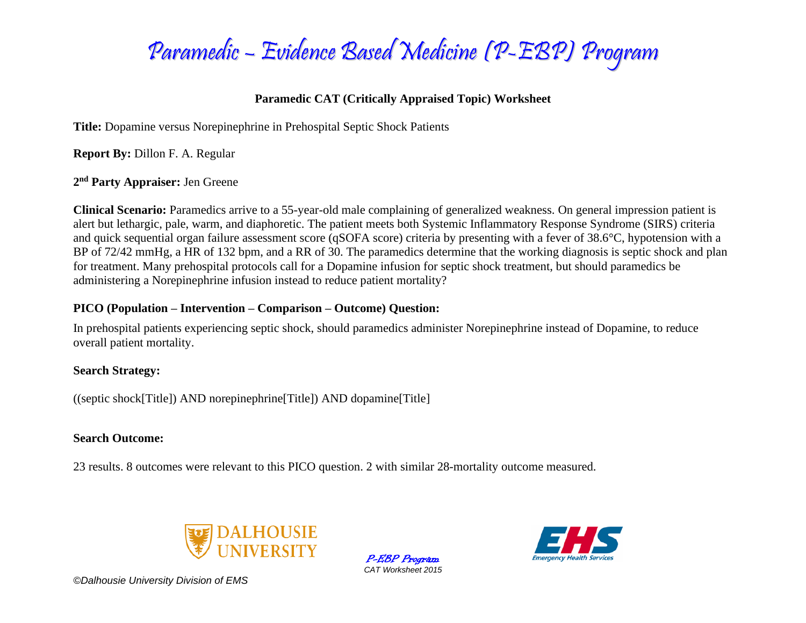

## **Paramedic CAT (Critically Appraised Topic) Worksheet**

**Title:** Dopamine versus Norepinephrine in Prehospital Septic Shock Patients

**Report By:** Dillon F. A. Regular

**2 nd Party Appraiser:** Jen Greene

**Clinical Scenario:** Paramedics arrive to a 55-year-old male complaining of generalized weakness. On general impression patient is alert but lethargic, pale, warm, and diaphoretic. The patient meets both Systemic Inflammatory Response Syndrome (SIRS) criteria and quick sequential organ failure assessment score (qSOFA score) criteria by presenting with a fever of 38.6°C, hypotension with a BP of 72/42 mmHg, a HR of 132 bpm, and a RR of 30. The paramedics determine that the working diagnosis is septic shock and plan for treatment. Many prehospital protocols call for a Dopamine infusion for septic shock treatment, but should paramedics be administering a Norepinephrine infusion instead to reduce patient mortality?

## **PICO (Population – Intervention – Comparison – Outcome) Question:**

In prehospital patients experiencing septic shock, should paramedics administer Norepinephrine instead of Dopamine, to reduce overall patient mortality.

### **Search Strategy:**

((septic shock[Title]) AND norepinephrine[Title]) AND dopamine[Title]

## **Search Outcome:**

23 results. 8 outcomes were relevant to this PICO question. 2 with similar 28-mortality outcome measured.



P-EBP Program *CAT Worksheet 2015*

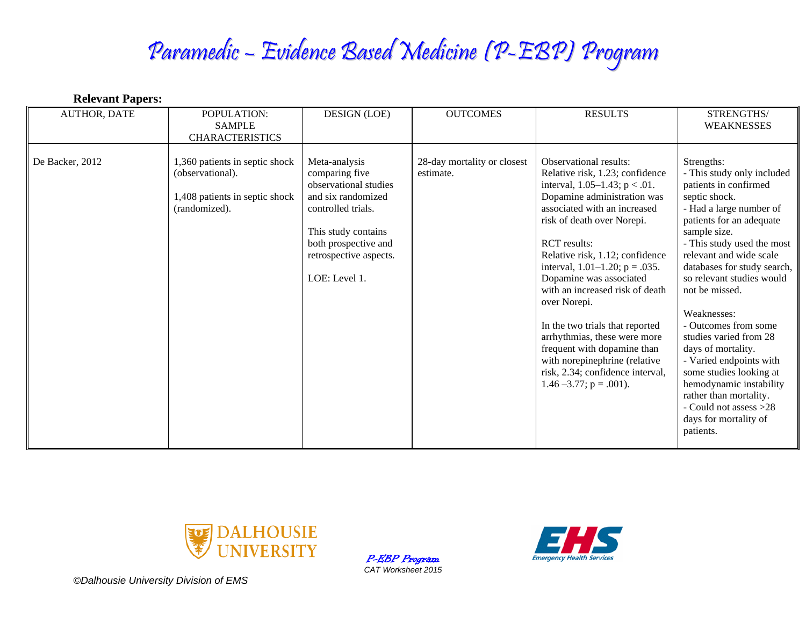# Paramedic – Evidence Based Medicine (P-EBP) Program

| <b>Relevant Papers:</b> |                                                                                                       |                                                                                                                                                                                                |                                          |                                                                                                                                                                                                                                                                                                                                                                                                                                                                                                                                                                                    |                                                                                                                                                                                                                                                                                                                                                                                                                                                                                                                                                                    |
|-------------------------|-------------------------------------------------------------------------------------------------------|------------------------------------------------------------------------------------------------------------------------------------------------------------------------------------------------|------------------------------------------|------------------------------------------------------------------------------------------------------------------------------------------------------------------------------------------------------------------------------------------------------------------------------------------------------------------------------------------------------------------------------------------------------------------------------------------------------------------------------------------------------------------------------------------------------------------------------------|--------------------------------------------------------------------------------------------------------------------------------------------------------------------------------------------------------------------------------------------------------------------------------------------------------------------------------------------------------------------------------------------------------------------------------------------------------------------------------------------------------------------------------------------------------------------|
| <b>AUTHOR, DATE</b>     | POPULATION:<br><b>SAMPLE</b><br><b>CHARACTERISTICS</b>                                                | <b>DESIGN (LOE)</b>                                                                                                                                                                            | <b>OUTCOMES</b>                          | <b>RESULTS</b>                                                                                                                                                                                                                                                                                                                                                                                                                                                                                                                                                                     | STRENGTHS/<br><b>WEAKNESSES</b>                                                                                                                                                                                                                                                                                                                                                                                                                                                                                                                                    |
| De Backer, 2012         | 1,360 patients in septic shock<br>(observational).<br>1,408 patients in septic shock<br>(randomized). | Meta-analysis<br>comparing five<br>observational studies<br>and six randomized<br>controlled trials.<br>This study contains<br>both prospective and<br>retrospective aspects.<br>LOE: Level 1. | 28-day mortality or closest<br>estimate. | Observational results:<br>Relative risk, 1.23; confidence<br>interval, $1.05-1.43$ ; $p < .01$ .<br>Dopamine administration was<br>associated with an increased<br>risk of death over Norepi.<br><b>RCT</b> results:<br>Relative risk, 1.12; confidence<br>interval, $1.01-1.20$ ; $p = .035$ .<br>Dopamine was associated<br>with an increased risk of death<br>over Norepi.<br>In the two trials that reported<br>arrhythmias, these were more<br>frequent with dopamine than<br>with norepinephrine (relative<br>risk, 2.34; confidence interval,<br>$1.46 - 3.77$ ; p = .001). | Strengths:<br>- This study only included<br>patients in confirmed<br>septic shock.<br>- Had a large number of<br>patients for an adequate<br>sample size.<br>- This study used the most<br>relevant and wide scale<br>databases for study search,<br>so relevant studies would<br>not be missed.<br>Weaknesses:<br>- Outcomes from some<br>studies varied from 28<br>days of mortality.<br>- Varied endpoints with<br>some studies looking at<br>hemodynamic instability<br>rather than mortality.<br>- Could not assess >28<br>days for mortality of<br>patients. |



P-EBP Program *CAT Worksheet 2015*

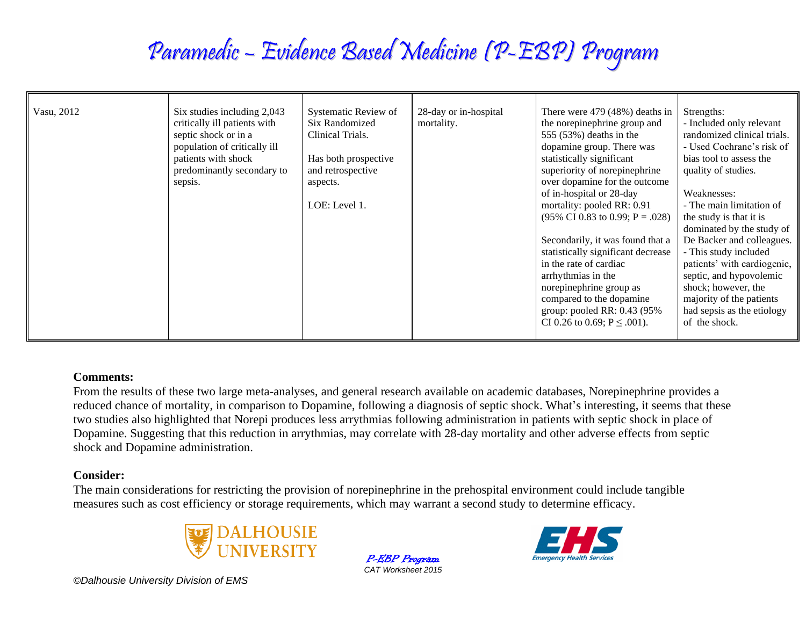# Paramedic – Evidence Based Medicine (P-EBP) Program

| Vasu, 2012 | Six studies including 2,043<br>critically ill patients with<br>septic shock or in a<br>population of critically ill<br>patients with shock<br>predominantly secondary to<br>sepsis. | Systematic Review of<br>Six Randomized<br>Clinical Trials.<br>Has both prospective<br>and retrospective<br>aspects.<br>LOE: Level 1. | 28-day or in-hospital<br>mortality. | There were $479(48%)$ deaths in<br>the norepinephrine group and<br>555 $(53%)$ deaths in the<br>dopamine group. There was<br>statistically significant<br>superiority of norepinephrine<br>over dopamine for the outcome<br>of in-hospital or 28-day<br>mortality: pooled RR: 0.91<br>$(95\% \text{ CI } 0.83 \text{ to } 0.99; \text{ P} = .028)$<br>Secondarily, it was found that a<br>statistically significant decrease<br>in the rate of cardiac<br>arrhythmias in the<br>norepinephrine group as<br>compared to the dopamine<br>group: pooled RR: $0.43$ (95%)<br>CI 0.26 to 0.69; $P \leq .001$ ). | Strengths:<br>- Included only relevant<br>randomized clinical trials.<br>- Used Cochrane's risk of<br>bias tool to assess the<br>quality of studies.<br>Weaknesses:<br>- The main limitation of<br>the study is that it is<br>dominated by the study of<br>De Backer and colleagues.<br>- This study included<br>patients' with cardiogenic,<br>septic, and hypovolemic<br>shock; however, the<br>majority of the patients<br>had sepsis as the etiology<br>of the shock. |
|------------|-------------------------------------------------------------------------------------------------------------------------------------------------------------------------------------|--------------------------------------------------------------------------------------------------------------------------------------|-------------------------------------|------------------------------------------------------------------------------------------------------------------------------------------------------------------------------------------------------------------------------------------------------------------------------------------------------------------------------------------------------------------------------------------------------------------------------------------------------------------------------------------------------------------------------------------------------------------------------------------------------------|---------------------------------------------------------------------------------------------------------------------------------------------------------------------------------------------------------------------------------------------------------------------------------------------------------------------------------------------------------------------------------------------------------------------------------------------------------------------------|
|------------|-------------------------------------------------------------------------------------------------------------------------------------------------------------------------------------|--------------------------------------------------------------------------------------------------------------------------------------|-------------------------------------|------------------------------------------------------------------------------------------------------------------------------------------------------------------------------------------------------------------------------------------------------------------------------------------------------------------------------------------------------------------------------------------------------------------------------------------------------------------------------------------------------------------------------------------------------------------------------------------------------------|---------------------------------------------------------------------------------------------------------------------------------------------------------------------------------------------------------------------------------------------------------------------------------------------------------------------------------------------------------------------------------------------------------------------------------------------------------------------------|

#### **Comments:**

From the results of these two large meta-analyses, and general research available on academic databases, Norepinephrine provides a reduced chance of mortality, in comparison to Dopamine, following a diagnosis of septic shock. What's interesting, it seems that these two studies also highlighted that Norepi produces less arrythmias following administration in patients with septic shock in place of Dopamine. Suggesting that this reduction in arrythmias, may correlate with 28-day mortality and other adverse effects from septic shock and Dopamine administration.

### **Consider:**

The main considerations for restricting the provision of norepinephrine in the prehospital environment could include tangible measures such as cost efficiency or storage requirements, which may warrant a second study to determine efficacy.



P-EBP Program *CAT Worksheet 2015*